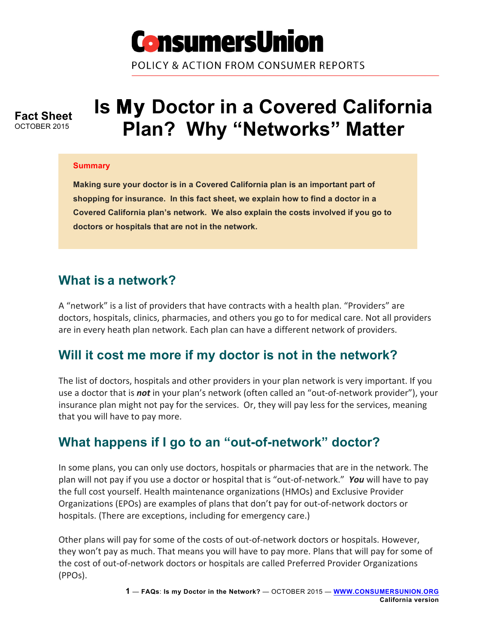

POLICY & ACTION FROM CONSUMER REPORTS

**Fact Sheet** OCTOBER 2015

# **Is My Doctor in a Covered California Plan? Why "Networks" Matter**

#### **Summary**

**Making sure your doctor is in a Covered California plan is an important part of shopping for insurance. In this fact sheet, we explain how to find a doctor in a Covered California plan's network. We also explain the costs involved if you go to doctors or hospitals that are not in the network.**

### **What is a network?**

A "network" is a list of providers that have contracts with a health plan. "Providers" are doctors, hospitals, clinics, pharmacies, and others you go to for medical care. Not all providers are in every heath plan network. Each plan can have a different network of providers.

# **Will it cost me more if my doctor is not in the network?**

The list of doctors, hospitals and other providers in your plan network is very important. If you use a doctor that is *not* in your plan's network (often called an "out-of-network provider"), your insurance plan might not pay for the services. Or, they will pay less for the services, meaning that you will have to pay more.

# **What happens if I go to an "out-of-network" doctor?**

In some plans, you can only use doctors, hospitals or pharmacies that are in the network. The plan will not pay if you use a doctor or hospital that is "out-of-network." **You** will have to pay the full cost yourself. Health maintenance organizations (HMOs) and Exclusive Provider Organizations (EPOs) are examples of plans that don't pay for out-of-network doctors or hospitals. (There are exceptions, including for emergency care.)

Other plans will pay for some of the costs of out-of-network doctors or hospitals. However, they won't pay as much. That means you will have to pay more. Plans that will pay for some of the cost of out-of-network doctors or hospitals are called Preferred Provider Organizations (PPOs).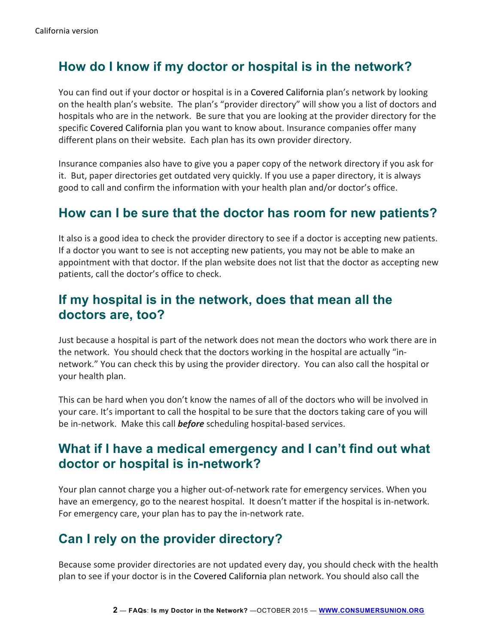# **How do I know if my doctor or hospital is in the network?**

You can find out if your doctor or hospital is in a Covered California plan's network by looking on the health plan's website. The plan's "provider directory" will show you a list of doctors and hospitals who are in the network. Be sure that you are looking at the provider directory for the specific Covered California plan you want to know about. Insurance companies offer many different plans on their website. Each plan has its own provider directory.

Insurance companies also have to give you a paper copy of the network directory if you ask for it. But, paper directories get outdated very quickly. If you use a paper directory, it is always good to call and confirm the information with your health plan and/or doctor's office.

# **How can I be sure that the doctor has room for new patients?**

It also is a good idea to check the provider directory to see if a doctor is accepting new patients. If a doctor you want to see is not accepting new patients, you may not be able to make an appointment with that doctor. If the plan website does not list that the doctor as accepting new patients, call the doctor's office to check.

#### **If my hospital is in the network, does that mean all the doctors are, too?**

Just because a hospital is part of the network does not mean the doctors who work there are in the network. You should check that the doctors working in the hospital are actually "innetwork." You can check this by using the provider directory. You can also call the hospital or your health plan.

This can be hard when you don't know the names of all of the doctors who will be involved in your care. It's important to call the hospital to be sure that the doctors taking care of you will be in-network. Make this call **before** scheduling hospital-based services.

# **What if I have a medical emergency and I can't find out what doctor or hospital is in-network?**

Your plan cannot charge you a higher out-of-network rate for emergency services. When you have an emergency, go to the nearest hospital. It doesn't matter if the hospital is in-network. For emergency care, your plan has to pay the in-network rate.

# **Can I rely on the provider directory?**

Because some provider directories are not updated every day, you should check with the health plan to see if your doctor is in the Covered California plan network. You should also call the